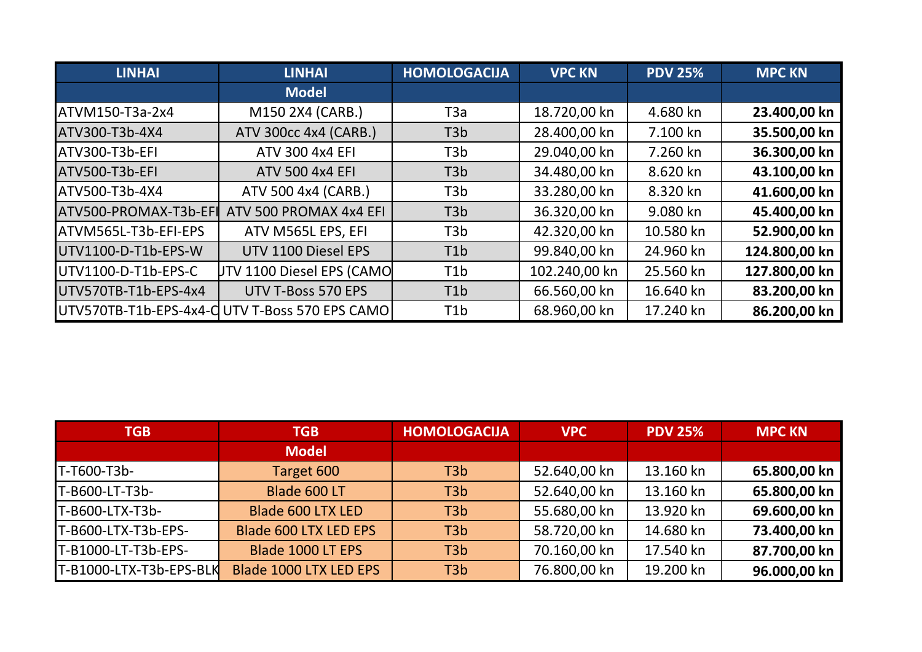| <b>LINHAI</b>         | <b>LINHAI</b>                                  | <b>HOMOLOGACIJA</b> | <b>VPC KN</b> | <b>PDV 25%</b> | <b>MPC KN</b> |
|-----------------------|------------------------------------------------|---------------------|---------------|----------------|---------------|
|                       | <b>Model</b>                                   |                     |               |                |               |
| ATVM150-T3a-2x4       | M150 2X4 (CARB.)                               | ТЗа                 | 18.720,00 kn  | 4.680 kn       | 23.400,00 kn  |
| ATV300-T3b-4X4        | ATV 300cc 4x4 (CARB.)                          | T <sub>3</sub> b    | 28.400,00 kn  | 7.100 kn       | 35.500,00 kn  |
| ATV300-T3b-EFI        | ATV 300 4x4 EFI                                | T3b                 | 29.040,00 kn  | 7.260 kn       | 36.300,00 kn  |
| ATV500-T3b-EFI        | <b>ATV 500 4x4 EFI</b>                         | T <sub>3</sub> b    | 34.480,00 kn  | 8.620 kn       | 43.100,00 kn  |
| <b>ATV500-T3b-4X4</b> | ATV 500 4x4 (CARB.)                            | T <sub>3</sub> b    | 33.280,00 kn  | 8.320 kn       | 41.600,00 kn  |
| ATV500-PROMAX-T3b-EFI | ATV 500 PROMAX 4x4 EFI                         | T <sub>3</sub> b    | 36.320,00 kn  | 9.080 kn       | 45.400,00 kn  |
| ATVM565L-T3b-EFI-EPS  | ATV M565L EPS, EFI                             | T <sub>3</sub> b    | 42.320,00 kn  | 10.580 kn      | 52.900,00 kn  |
| UTV1100-D-T1b-EPS-W   | UTV 1100 Diesel EPS                            | T <sub>1</sub> b    | 99.840,00 kn  | 24.960 kn      | 124.800,00 kn |
| UTV1100-D-T1b-EPS-C   | UTV 1100 Diesel EPS (CAMO                      | T <sub>1</sub> b    | 102.240,00 kn | 25.560 kn      | 127.800,00 kn |
| UTV570TB-T1b-EPS-4x4  | UTV T-Boss 570 EPS                             | T <sub>1</sub> b    | 66.560,00 kn  | 16.640 kn      | 83.200,00 kn  |
|                       | UTV570TB-T1b-EPS-4x4-C UTV T-Boss 570 EPS CAMO | T <sub>1</sub> b    | 68.960,00 kn  | 17.240 kn      | 86.200,00 kn  |

| <b>TGB</b>              | <b>TGB</b>                   | <b>HOMOLOGACIJA</b> | <b>VPC</b>   | <b>PDV 25%</b> | <b>MPC KN</b> |
|-------------------------|------------------------------|---------------------|--------------|----------------|---------------|
|                         | <b>Model</b>                 |                     |              |                |               |
| T-T600-T3b-             | Target 600                   | T <sub>3</sub> b    | 52.640,00 kn | 13.160 kn      | 65.800,00 kn  |
| T-B600-LT-T3b-          | Blade 600 LT                 | T <sub>3</sub> b    | 52.640,00 kn | 13.160 kn      | 65.800,00 kn  |
| T-B600-LTX-T3b-         | Blade 600 LTX LED            | T <sub>3</sub> b    | 55.680,00 kn | 13.920 kn      | 69.600,00 kn  |
| T-B600-LTX-T3b-EPS-     | <b>Blade 600 LTX LED EPS</b> | T <sub>3</sub> b    | 58.720,00 kn | 14.680 kn      | 73.400,00 kn  |
| T-B1000-LT-T3b-EPS-     | Blade 1000 LT EPS            | T <sub>3</sub> b    | 70.160,00 kn | 17.540 kn      | 87.700,00 kn  |
| T-B1000-LTX-T3b-EPS-BLK | Blade 1000 LTX LED EPS       | T <sub>3</sub> b    | 76.800,00 kn | 19.200 kn      | 96.000,00 kn  |